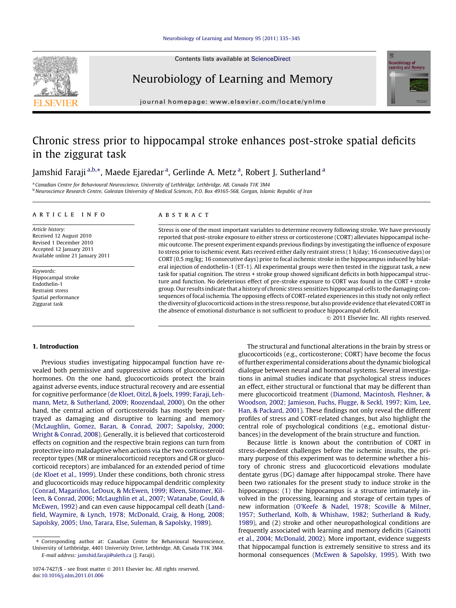

Contents lists available at [ScienceDirect](http://www.sciencedirect.com/science/journal/10747427)

# Neurobiology of Learning and Memory



journal homepage: [www.elsevier.com/locate/ynlme](http://www.elsevier.com/locate/ynlme)

# Chronic stress prior to hippocampal stroke enhances post-stroke spatial deficits in the ziggurat task

Jamshid Faraji <sup>a,b,</sup>\*, Maede Ejaredar <sup>a</sup>, Gerlinde A. Metz <sup>a</sup>, Robert J. Sutherland <sup>a</sup>

a Canadian Centre for Behavioural Neuroscience, University of Lethbridge, Lethbridge, AB, Canada T1K 3M4 <sup>b</sup> Neuroscience Research Centre, Golestan University of Medical Sciences, P.O. Box 49165-568, Gorgan, Islamic Republic of Iran

## article info

Article history: Received 12 August 2010 Revised 1 December 2010 Accepted 12 January 2011 Available online 21 January 2011

Keywords: Hippocampal stroke Endothelin-1 Restraint stress Spatial performance Ziggurat task

#### ABSTRACT

Stress is one of the most important variables to determine recovery following stroke. We have previously reported that post-stroke exposure to either stress or corticosterone (CORT) alleviates hippocampal ischemic outcome. The present experiment expands previous findings by investigating the influence of exposure to stress prior to ischemic event. Rats received either daily restraint stress (1 h/day; 16 consecutive days) or CORT (0.5 mg/kg; 16 consecutive days) prior to focal ischemic stroke in the hippocampus induced by bilateral injection of endothelin-1 (ET-1). All experimental groups were then tested in the ziggurat task, a new task for spatial cognition. The stress + stroke group showed significant deficits in both hippocampal structure and function. No deleterious effect of pre-stroke exposure to CORT was found in the CORT + stroke group. Our results indicate that a history of chronic stress sensitizes hippocampal cells to the damaging consequences of focal ischemia. The opposing effects of CORT-related experiences in this study not only reflect the diversity of glucocorticoid actions in the stress response, but also provide evidence that elevated CORT in the absence of emotional disturbance is not sufficient to produce hippocampal deficit.

- 2011 Elsevier Inc. All rights reserved.

## 1. Introduction

Previous studies investigating hippocampal function have revealed both permissive and suppressive actions of glucocorticoid hormones. On the one hand, glucocorticoids protect the brain against adverse events, induce structural recovery and are essential for cognitive performance [\(de Kloet, Oitzl, & Joels, 1999; Faraji, Leh](#page--1-0)[mann, Metz, & Sutherland, 2009; Roozendaal, 2000](#page--1-0)). On the other hand, the central action of corticosteroids has mostly been portrayed as damaging and disruptive to learning and memory ([McLaughlin, Gomez, Baran, & Conrad, 2007; Sapolsky, 2000;](#page--1-0) [Wright & Conrad, 2008](#page--1-0)). Generally, it is believed that corticosteroid effects on cognition and the respective brain regions can turn from protective into maladaptive when actions via the two corticosteroid receptor types (MR or mineralocorticoid receptors and GR or glucocorticoid receptors) are imbalanced for an extended period of time ([de Kloet et al., 1999](#page--1-0)). Under these conditions, both chronic stress and glucocorticoids may reduce hippocampal dendritic complexity ([Conrad, Magariños, LeDoux, & McEwen, 1999; Kleen, Sitomer, Kil](#page--1-0)[leen, & Conrad, 2006; McLaughlin et al., 2007; Watanabe, Gould, &](#page--1-0) [McEwen, 1992](#page--1-0)) and can even cause hippocampal cell death [\(Land](#page--1-0)[field, Waymire, & Lynch, 1978; McDonald, Craig, & Hong, 2008;](#page--1-0) [Sapolsky, 2005; Uno, Tarara, Else, Suleman, & Sapolsky, 1989](#page--1-0)).

The structural and functional alterations in the brain by stress or glucocorticoids (e.g., corticosterone; CORT) have become the focus of further experimental considerations about the dynamic biological dialogue between neural and hormonal systems. Several investigations in animal studies indicate that psychological stress induces an effect, either structural or functional that may be different than mere glucocorticoid treatment [\(Diamond, Macintosh, Fleshner, &](#page--1-0) [Woodson, 2002; Jamieson, Fuchs, Flugge, & Seckl, 1997; Kim, Lee,](#page--1-0) [Han, & Packard, 2001\)](#page--1-0). These findings not only reveal the different profiles of stress and CORT-related changes, but also highlight the central role of psychological conditions (e.g., emotional disturbances) in the development of the brain structure and function.

Because little is known about the contribution of CORT in stress-dependent challenges before the ischemic insults, the primary purpose of this experiment was to determine whether a history of chronic stress and glucocorticoid elevations modulate dentate gyrus (DG) damage after hippocampal stroke. There have been two rationales for the present study to induce stroke in the hippocampus: (1) the hippocampus is a structure intimately involved in the processing, learning and storage of certain types of new information [\(O'Keefe & Nadel, 1978; Scoville & Milner,](#page--1-0) [1957; Sutherland, Kolb, & Whishaw, 1982; Sutherland & Rudy,](#page--1-0) [1989\)](#page--1-0), and (2) stroke and other neuropathological conditions are frequently associated with learning and memory deficits ([Gainotti](#page--1-0) [et al., 2004; McDonald, 2002](#page--1-0)). More important, evidence suggests that hippocampal function is extremely sensitive to stress and its hormonal consequences [\(McEwen & Sapolsky, 1995\)](#page--1-0). With two

<sup>⇑</sup> Corresponding author at: Canadian Centre for Behavioural Neuroscience, University of Lethbridge, 4401 University Drive, Lethbridge, AB, Canada T1K 3M4. E-mail address: [jamshid.faraji@uleth.ca](mailto:jamshid.faraji@uleth.ca) (J. Faraji).

<sup>1074-7427/\$ -</sup> see front matter © 2011 Elsevier Inc. All rights reserved. doi[:10.1016/j.nlm.2011.01.006](http://dx.doi.org/10.1016/j.nlm.2011.01.006)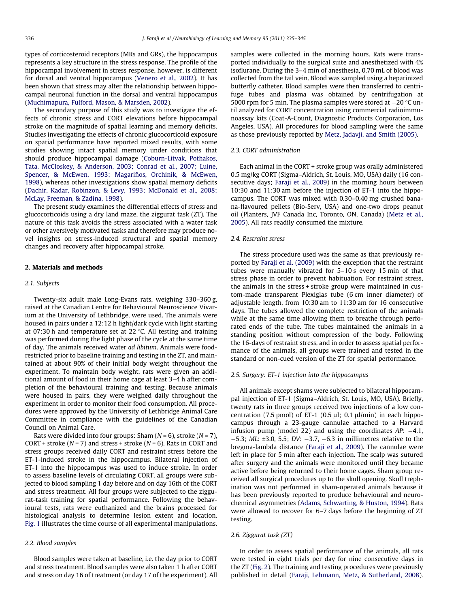types of corticosteroid receptors (MRs and GRs), the hippocampus represents a key structure in the stress response. The profile of the hippocampal involvement in stress response, however, is different for dorsal and ventral hippocampus ([Venero et al., 2002](#page--1-0)). It has been shown that stress may alter the relationship between hippocampal neuronal function in the dorsal and ventral hippocampus ([Muchimapura, Fulford, Mason, & Marsden, 2002](#page--1-0)).

The secondary purpose of this study was to investigate the effects of chronic stress and CORT elevations before hippocampal stroke on the magnitude of spatial learning and memory deficits. Studies investigating the effects of chronic glucocorticoid exposure on spatial performance have reported mixed results, with some studies showing intact spatial memory under conditions that should produce hippocampal damage ([Coburn-Litvak, Pothakos,](#page--1-0) [Tata, McCloskey, & Anderson, 2003; Conrad et al., 2007; Luine,](#page--1-0) [Spencer, & McEwen, 1993; Magariños, Orchinik, & McEwen,](#page--1-0) [1998\)](#page--1-0), whereas other investigations show spatial memory deficits ([Dachir, Kadar, Robinzon, & Levy, 1993; McDonald et al., 2008;](#page--1-0) [McLay, Freeman, & Zadina, 1998](#page--1-0)).

The present study examines the differential effects of stress and glucocorticoids using a dry land maze, the ziggurat task (ZT). The nature of this task avoids the stress associated with a water task or other aversively motivated tasks and therefore may produce novel insights on stress-induced structural and spatial memory changes and recovery after hippocampal stroke.

## 2. Materials and methods

#### 2.1. Subjects

Twenty-six adult male Long-Evans rats, weighing 330–360 g, raised at the Canadian Centre for Behavioural Neuroscience Vivarium at the University of Lethbridge, were used. The animals were housed in pairs under a 12:12 h light/dark cycle with light starting at 07:30 h and temperature set at 22  $\degree$ C. All testing and training was performed during the light phase of the cycle at the same time of day. The animals received water ad libitum. Animals were foodrestricted prior to baseline training and testing in the ZT, and maintained at about 90% of their initial body weight throughout the experiment. To maintain body weight, rats were given an additional amount of food in their home cage at least 3–4 h after completion of the behavioural training and testing. Because animals were housed in pairs, they were weighed daily throughout the experiment in order to monitor their food consumption. All procedures were approved by the University of Lethbridge Animal Care Committee in compliance with the guidelines of the Canadian Council on Animal Care.

Rats were divided into four groups: Sham  $(N = 6)$ , stroke  $(N = 7)$ , CORT + stroke ( $N = 7$ ) and stress + stroke ( $N = 6$ ). Rats in CORT and stress groups received daily CORT and restraint stress before the ET-1-induced stroke in the hippocampus. Bilateral injection of ET-1 into the hippocampus was used to induce stroke. In order to assess baseline levels of circulating CORT, all groups were subjected to blood sampling 1 day before and on day 16th of the CORT and stress treatment. All four groups were subjected to the ziggurat-task training for spatial performance. Following the behavioural tests, rats were euthanized and the brains processed for histological analysis to determine lesion extent and location. [Fig. 1](#page--1-0) illustrates the time course of all experimental manipulations.

# 2.2. Blood samples

Blood samples were taken at baseline, i.e. the day prior to CORT and stress treatment. Blood samples were also taken 1 h after CORT and stress on day 16 of treatment (or day 17 of the experiment). All samples were collected in the morning hours. Rats were transported individually to the surgical suite and anesthetized with 4% isoflurane. During the 3–4 min of anesthesia, 0.70 mL of blood was collected from the tail vein. Blood was sampled using a heparinized butterfly catheter. Blood samples were then transferred to centrifuge tubes and plasma was obtained by centrifugation at 5000 rpm for 5 min. The plasma samples were stored at  $-20$  °C until analyzed for CORT concentration using commercial radioimmunoassay kits (Coat-A-Count, Diagnostic Products Corporation, Los Angeles, USA). All procedures for blood sampling were the same as those previously reported by [Metz, Jadavji, and Smith \(2005\).](#page--1-0)

# 2.3. CORT administration

Each animal in the CORT + stroke group was orally administered 0.5 mg/kg CORT (Sigma–Aldrich, St. Louis, MO, USA) daily (16 consecutive days; [Faraji et al., 2009](#page--1-0)) in the morning hours between 10:30 and 11:30 am before the injection of ET-1 into the hippocampus. The CORT was mixed with 0.30–0.40 mg crushed banana-flavoured pellets (Bio-Serv, USA) and one-two drops peanut oil (Planters, JVF Canada Inc, Toronto, ON, Canada) [\(Metz et al.,](#page--1-0) [2005\)](#page--1-0). All rats readily consumed the mixture.

#### 2.4. Restraint stress

The stress procedure used was the same as that previously reported by [Faraji et al. \(2009\)](#page--1-0) with the exception that the restraint tubes were manually vibrated for 5–10 s every 15 min of that stress phase in order to prevent habituation. For restraint stress, the animals in the stress + stroke group were maintained in custom-made transparent Plexiglas tube (6 cm inner diameter) of adjustable length, from 10:30 am to 11:30 am for 16 consecutive days. The tubes allowed the complete restriction of the animals while at the same time allowing them to breathe through perforated ends of the tube. The tubes maintained the animals in a standing position without compression of the body. Following the 16-days of restraint stress, and in order to assess spatial performance of the animals, all groups were trained and tested in the standard or non-cued version of the ZT for spatial performance.

#### 2.5. Surgery: ET-1 injection into the hippocampus

All animals except shams were subjected to bilateral hippocampal injection of ET-1 (Sigma–Aldrich, St. Louis, MO, USA). Briefly, twenty rats in three groups received two injections of a low concentration (7.5 pmol) of ET-1 (0.5  $\mu$ l; 0.1  $\mu$ l/min) in each hippocampus through a 23-gauge cannulae attached to a Harvard infusion pump (model 22) and using the coordinates  $AP: -4.1$ ,  $-5.3$ ; ML:  $\pm 3.0$ , 5.5; DV:  $-3.7$ ,  $-6.3$  in millimetres relative to the bregma-lambda distance [\(Faraji et al., 2009](#page--1-0)). The cannulae were left in place for 5 min after each injection. The scalp was sutured after surgery and the animals were monitored until they became active before being returned to their home cages. Sham group received all surgical procedures up to the skull opening. Skull trephination was not performed in sham-operated animals because it has been previously reported to produce behavioural and neurochemical asymmetries [\(Adams, Schwarting, & Huston, 1994](#page--1-0)). Rats were allowed to recover for 6–7 days before the beginning of ZT testing.

#### 2.6. Ziggurat task (ZT)

In order to assess spatial performance of the animals, all rats were tested in eight trials per day for nine consecutive days in the ZT [\(Fig. 2](#page--1-0)). The training and testing procedures were previously published in detail [\(Faraji, Lehmann, Metz, & Sutherland, 2008\)](#page--1-0).